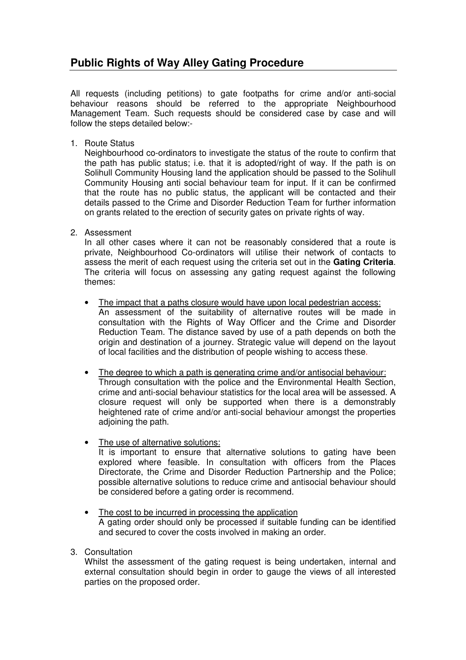## **Public Rights of Way Alley Gating Procedure**

All requests (including petitions) to gate footpaths for crime and/or anti-social behaviour reasons should be referred to the appropriate Neighbourhood Management Team. Such requests should be considered case by case and will follow the steps detailed below:-

1. Route Status

Neighbourhood co-ordinators to investigate the status of the route to confirm that the path has public status; i.e. that it is adopted/right of way. If the path is on Solihull Community Housing land the application should be passed to the Solihull Community Housing anti social behaviour team for input. If it can be confirmed that the route has no public status, the applicant will be contacted and their details passed to the Crime and Disorder Reduction Team for further information on grants related to the erection of security gates on private rights of way.

2. Assessment

In all other cases where it can not be reasonably considered that a route is private, Neighbourhood Co-ordinators will utilise their network of contacts to assess the merit of each request using the criteria set out in the **Gating Criteria**. The criteria will focus on assessing any gating request against the following themes:

- The impact that a paths closure would have upon local pedestrian access: An assessment of the suitability of alternative routes will be made in consultation with the Rights of Way Officer and the Crime and Disorder Reduction Team. The distance saved by use of a path depends on both the origin and destination of a journey. Strategic value will depend on the layout of local facilities and the distribution of people wishing to access these.
- The degree to which a path is generating crime and/or antisocial behaviour: Through consultation with the police and the Environmental Health Section, crime and anti-social behaviour statistics for the local area will be assessed. A closure request will only be supported when there is a demonstrably heightened rate of crime and/or anti-social behaviour amongst the properties adjoining the path.
- The use of alternative solutions: It is important to ensure that alternative solutions to gating have been explored where feasible. In consultation with officers from the Places Directorate, the Crime and Disorder Reduction Partnership and the Police; possible alternative solutions to reduce crime and antisocial behaviour should be considered before a gating order is recommend.
- The cost to be incurred in processing the application A gating order should only be processed if suitable funding can be identified and secured to cover the costs involved in making an order.
- 3. Consultation

Whilst the assessment of the gating request is being undertaken, internal and external consultation should begin in order to gauge the views of all interested parties on the proposed order.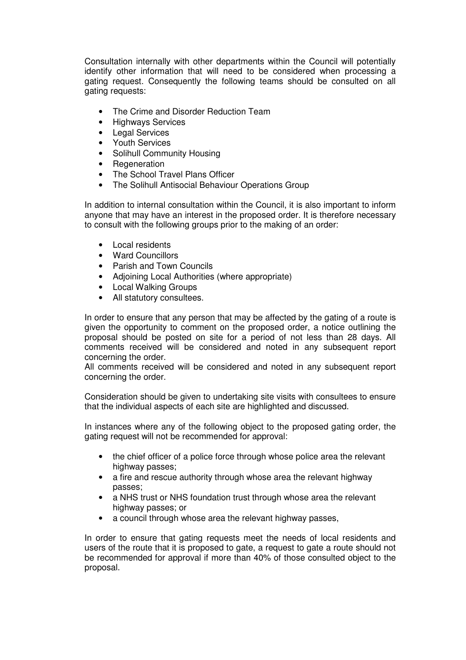Consultation internally with other departments within the Council will potentially identify other information that will need to be considered when processing a gating request. Consequently the following teams should be consulted on all gating requests:

- The Crime and Disorder Reduction Team
- Highways Services
- Legal Services
- Youth Services
- Solihull Community Housing
- Regeneration
- The School Travel Plans Officer
- The Solihull Antisocial Behaviour Operations Group

In addition to internal consultation within the Council, it is also important to inform anyone that may have an interest in the proposed order. It is therefore necessary to consult with the following groups prior to the making of an order:

- Local residents
- Ward Councillors
- Parish and Town Councils
- Adjoining Local Authorities (where appropriate)
- Local Walking Groups
- All statutory consultees.

In order to ensure that any person that may be affected by the gating of a route is given the opportunity to comment on the proposed order, a notice outlining the proposal should be posted on site for a period of not less than 28 days. All comments received will be considered and noted in any subsequent report concerning the order.

All comments received will be considered and noted in any subsequent report concerning the order.

Consideration should be given to undertaking site visits with consultees to ensure that the individual aspects of each site are highlighted and discussed.

In instances where any of the following object to the proposed gating order, the gating request will not be recommended for approval:

- the chief officer of a police force through whose police area the relevant highway passes;
- a fire and rescue authority through whose area the relevant highway passes;
- a NHS trust or NHS foundation trust through whose area the relevant highway passes; or
- a council through whose area the relevant highway passes,

In order to ensure that gating requests meet the needs of local residents and users of the route that it is proposed to gate, a request to gate a route should not be recommended for approval if more than 40% of those consulted object to the proposal.